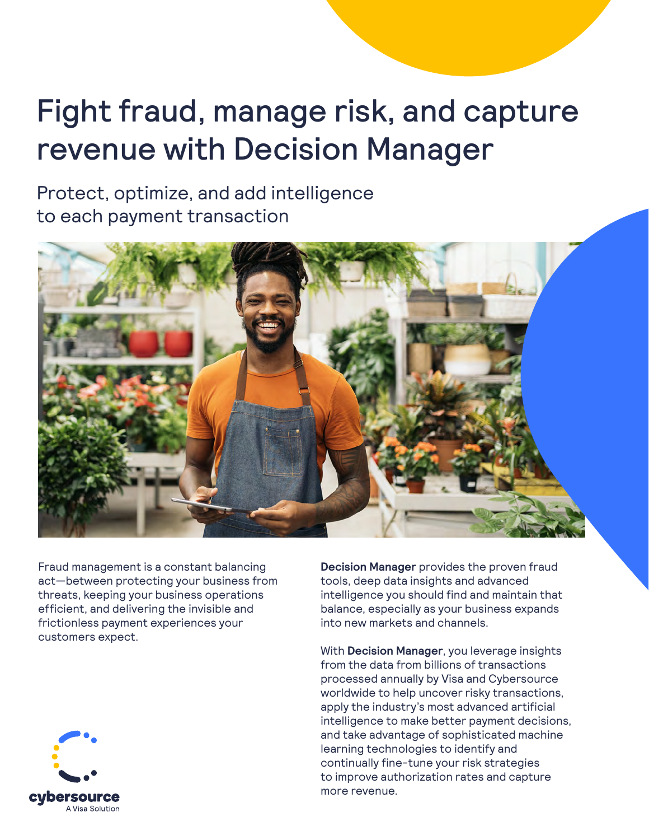# Fight fraud, manage risk, and capture revenue with Decision Manager

Protect, optimize, and add intelligence to each payment transaction



Fraud management is a constant balancing act—between protecting your business from threats, keeping your business operations efficient, and delivering the invisible and frictionless payment experiences your customers expect.

**Decision Manager** provides the proven fraud tools, deep data insights and advanced intelligence you should find and maintain that balance, especially as your business expands into new markets and channels.

With **Decision Manager**, you leverage insights from the data from billions of transactions processed annually by Visa and Cybersource worldwide to help uncover risky transactions, apply the industry's most advanced artificial intelligence to make better payment decisions, and take advantage of sophisticated machine learning technologies to identify and continually fine-tune your risk strategies to improve authorization rates and capture more revenue.

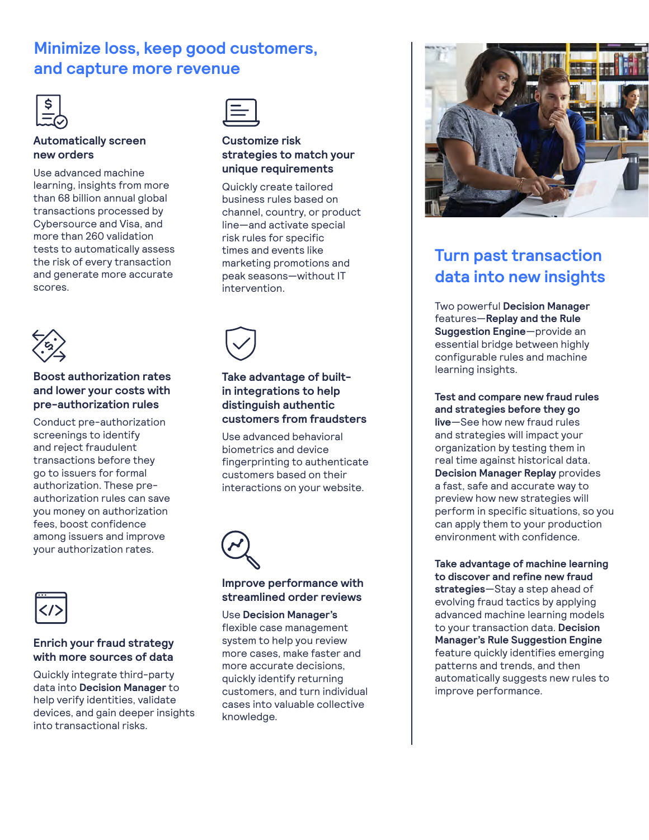# **Minimize loss, keep good customers, and capture more revenue**

### **Automatically screen new orders**

Use advanced machine learning, insights from more than 68 billion annual global transactions processed by Cybersource and Visa, and more than 260 validation tests to automatically assess the risk of every transaction and generate more accurate scores.



### **Boost authorization rates and lower your costs with pre-authorization rules**

Conduct pre-authorization screenings to identify and reject fraudulent transactions before they go to issuers for formal authorization. These preauthorization rules can save you money on authorization fees, boost confidence among issuers and improve your authorization rates.



### **Enrich your fraud strategy with more sources of data**

Quickly integrate third-party data into **Decision Manager** to help verify identities, validate devices, and gain deeper insights into transactional risks.



### **Customize risk strategies to match your unique requirements**

Quickly create tailored business rules based on channel, country, or product line—and activate special risk rules for specific times and events like marketing promotions and peak seasons—without IT intervention.



### **Take advantage of builtin integrations to help distinguish authentic customers from fraudsters**

Use advanced behavioral biometrics and device fingerprinting to authenticate customers based on their interactions on your website.



### **Improve performance with streamlined order reviews**

Use **Decision Manager's** flexible case management system to help you review more cases, make faster and more accurate decisions, quickly identify returning customers, and turn individual cases into valuable collective knowledge.



# **Turn past transaction data into new insights**

Two powerful **Decision Manager** features—**Replay and the Rule Suggestion Engine**—provide an essential bridge between highly configurable rules and machine learning insights.

**Test and compare new fraud rules and strategies before they go live**—See how new fraud rules and strategies will impact your organization by testing them in real time against historical data. **Decision Manager Replay** provides a fast, safe and accurate way to preview how new strategies will perform in specific situations, so you can apply them to your production environment with confidence.

**Take advantage of machine learning to discover and refine new fraud strategies**—Stay a step ahead of evolving fraud tactics by applying advanced machine learning models to your transaction data. **Decision Manager's Rule Suggestion Engine** feature quickly identifies emerging patterns and trends, and then automatically suggests new rules to improve performance.